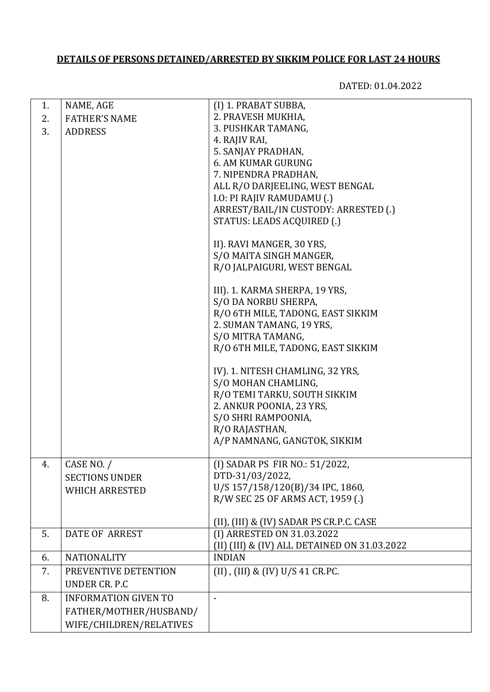## **DETAILS OF PERSONS DETAINED/ARRESTED BY SIKKIM POLICE FOR LAST 24 HOURS**

DATED: 01.04.2022

| 1. | NAME, AGE                   | (I) 1. PRABAT SUBBA,                         |
|----|-----------------------------|----------------------------------------------|
| 2. | <b>FATHER'S NAME</b>        | 2. PRAVESH MUKHIA,                           |
| 3. | <b>ADDRESS</b>              | 3. PUSHKAR TAMANG,                           |
|    |                             | 4. RAJIV RAI,                                |
|    |                             | 5. SANJAY PRADHAN,                           |
|    |                             | <b>6. AM KUMAR GURUNG</b>                    |
|    |                             | 7. NIPENDRA PRADHAN,                         |
|    |                             | ALL R/O DARJEELING, WEST BENGAL              |
|    |                             | I.O: PI RAJIV RAMUDAMU (.)                   |
|    |                             | ARREST/BAIL/IN CUSTODY: ARRESTED (.)         |
|    |                             | STATUS: LEADS ACQUIRED (.)                   |
|    |                             | II). RAVI MANGER, 30 YRS,                    |
|    |                             | S/O MAITA SINGH MANGER,                      |
|    |                             | R/O JALPAIGURI, WEST BENGAL                  |
|    |                             | III). 1. KARMA SHERPA, 19 YRS,               |
|    |                             | S/O DA NORBU SHERPA,                         |
|    |                             | R/O 6TH MILE, TADONG, EAST SIKKIM            |
|    |                             | 2. SUMAN TAMANG, 19 YRS,                     |
|    |                             | S/O MITRA TAMANG,                            |
|    |                             | R/O 6TH MILE, TADONG, EAST SIKKIM            |
|    |                             | IV). 1. NITESH CHAMLING, 32 YRS,             |
|    |                             | S/O MOHAN CHAMLING,                          |
|    |                             | R/O TEMI TARKU, SOUTH SIKKIM                 |
|    |                             | 2. ANKUR POONIA, 23 YRS,                     |
|    |                             | S/O SHRI RAMPOONIA,                          |
|    |                             | R/O RAJASTHAN,                               |
|    |                             | A/P NAMNANG, GANGTOK, SIKKIM                 |
| 4. | CASE NO. /                  | (I) SADAR PS FIR NO.: 51/2022,               |
|    | <b>SECTIONS UNDER</b>       | DTD-31/03/2022,                              |
|    | <b>WHICH ARRESTED</b>       | U/S 157/158/120(B)/34 IPC, 1860,             |
|    |                             | R/W SEC 25 OF ARMS ACT, 1959 (.)             |
|    |                             | (II), (III) & (IV) SADAR PS CR.P.C. CASE     |
| 5. | <b>DATE OF ARREST</b>       | (I) ARRESTED ON 31.03.2022                   |
|    |                             | (II) (III) & (IV) ALL DETAINED ON 31.03.2022 |
| 6. | <b>NATIONALITY</b>          | <b>INDIAN</b>                                |
| 7. | PREVENTIVE DETENTION        | (II), (III) & (IV) U/S 41 CR.PC.             |
|    | UNDER CR. P.C.              |                                              |
| 8. | <b>INFORMATION GIVEN TO</b> |                                              |
|    | FATHER/MOTHER/HUSBAND/      |                                              |
|    | WIFE/CHILDREN/RELATIVES     |                                              |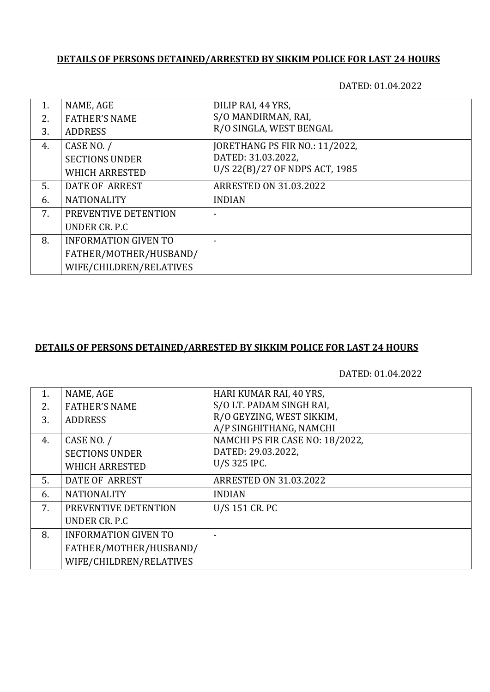### **DETAILS OF PERSONS DETAINED/ARRESTED BY SIKKIM POLICE FOR LAST 24 HOURS**

DATED: 01.04.2022

| 1. | NAME, AGE                   | DILIP RAI, 44 YRS,             |
|----|-----------------------------|--------------------------------|
| 2. | <b>FATHER'S NAME</b>        | S/O MANDIRMAN, RAI,            |
| 3. | <b>ADDRESS</b>              | R/O SINGLA, WEST BENGAL        |
| 4. | CASE NO. /                  | JORETHANG PS FIR NO.: 11/2022, |
|    | <b>SECTIONS UNDER</b>       | DATED: 31.03.2022,             |
|    | <b>WHICH ARRESTED</b>       | U/S 22(B)/27 OF NDPS ACT, 1985 |
| 5. | DATE OF ARREST              | <b>ARRESTED ON 31.03.2022</b>  |
| 6. | <b>NATIONALITY</b>          | <b>INDIAN</b>                  |
| 7. | PREVENTIVE DETENTION        |                                |
|    | UNDER CR. P.C.              |                                |
| 8. | <b>INFORMATION GIVEN TO</b> |                                |
|    | FATHER/MOTHER/HUSBAND/      |                                |
|    | WIFE/CHILDREN/RELATIVES     |                                |

#### **DETAILS OF PERSONS DETAINED/ARRESTED BY SIKKIM POLICE FOR LAST 24 HOURS**

DATED: 01.04.2022

| 1. | NAME, AGE                   | HARI KUMAR RAI, 40 YRS,         |
|----|-----------------------------|---------------------------------|
| 2. | <b>FATHER'S NAME</b>        | S/O LT. PADAM SINGH RAI,        |
| 3. | <b>ADDRESS</b>              | R/O GEYZING, WEST SIKKIM,       |
|    |                             | A/P SINGHITHANG, NAMCHI         |
| 4. | CASE NO. /                  | NAMCHI PS FIR CASE NO: 18/2022, |
|    | <b>SECTIONS UNDER</b>       | DATED: 29.03.2022,              |
|    | <b>WHICH ARRESTED</b>       | U/S 325 IPC.                    |
| 5. | DATE OF ARREST              | <b>ARRESTED ON 31.03.2022</b>   |
| 6. | <b>NATIONALITY</b>          | <b>INDIAN</b>                   |
| 7. | PREVENTIVE DETENTION        | U/S 151 CR. PC                  |
|    | UNDER CR. P.C.              |                                 |
| 8. | <b>INFORMATION GIVEN TO</b> |                                 |
|    | FATHER/MOTHER/HUSBAND/      |                                 |
|    | WIFE/CHILDREN/RELATIVES     |                                 |